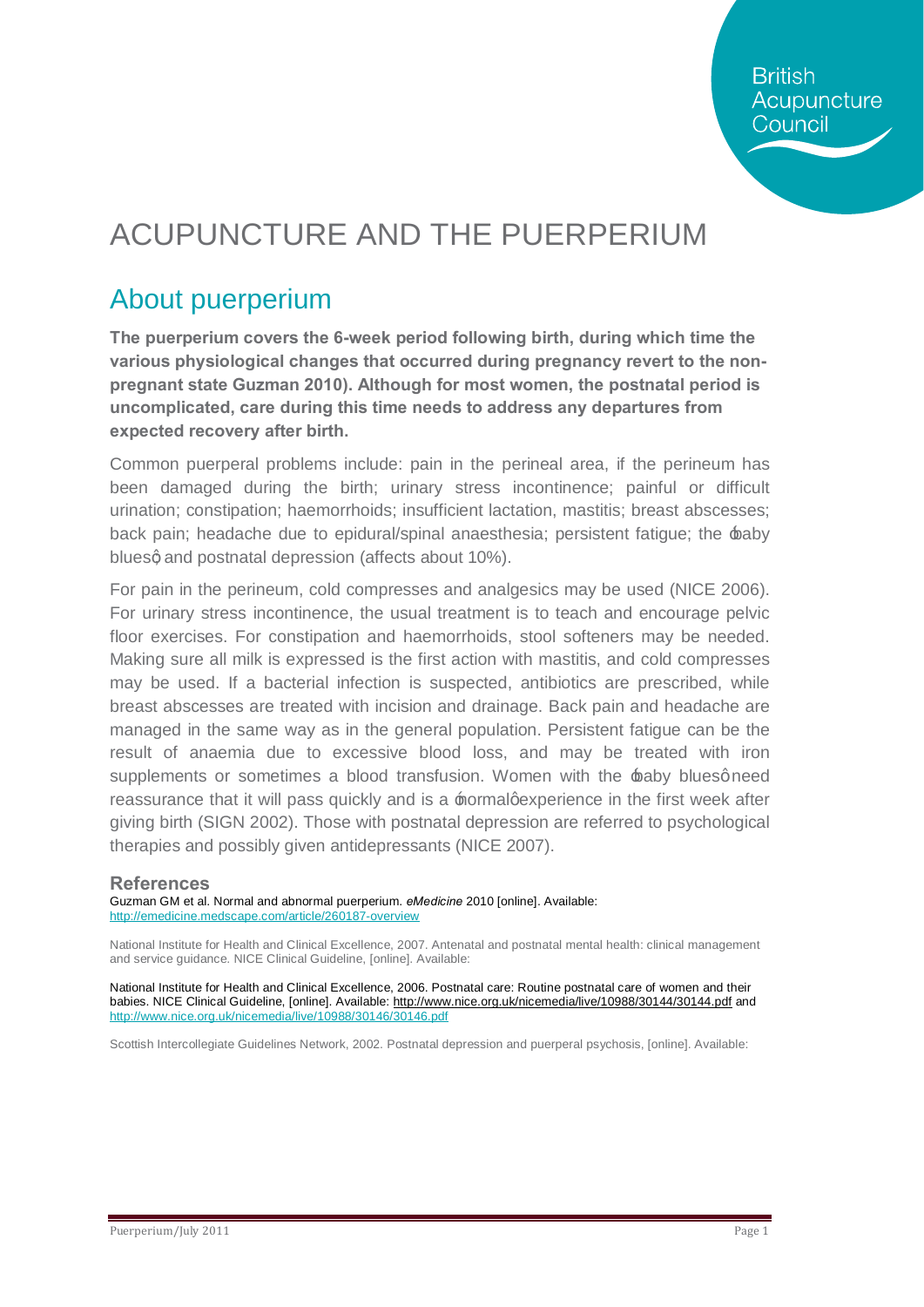# ACUPUNCTURE AND THE PUERPERIUM

## About puerperium

**The puerperium covers the 6-week period following birth, during which time the various physiological changes that occurred during pregnancy revert to the nonpregnant state Guzman 2010). Although for most women, the postnatal period is uncomplicated, care during this time needs to address any departures from expected recovery after birth.**

Common puerperal problems include: pain in the perineal area, if the perineum has been damaged during the birth; urinary stress incontinence; painful or difficult urination; constipation; haemorrhoids; insufficient lactation, mastitis; breast abscesses; back pain; headache due to epidural/spinal anaesthesia; persistent fatigue; the baby bluesg and postnatal depression (affects about 10%).

For pain in the perineum, cold compresses and analgesics may be used (NICE 2006). For urinary stress incontinence, the usual treatment is to teach and encourage pelvic floor exercises. For constipation and haemorrhoids, stool softeners may be needed. Making sure all milk is expressed is the first action with mastitis, and cold compresses may be used. If a bacterial infection is suspected, antibiotics are prescribed, while breast abscesses are treated with incision and drainage. Back pain and headache are managed in the same way as in the general population. Persistent fatigue can be the result of anaemia due to excessive blood loss, and may be treated with iron supplements or sometimes a blood transfusion. Women with the baby bluesgneed reassurance that it will pass quickly and is a  $\pm$  normalgexperience in the first week after giving birth (SIGN 2002). Those with postnatal depression are referred to psychological therapies and possibly given antidepressants (NICE 2007).

#### **References**

Guzman GM et al. Normal and abnormal puerperium. *eMedicine* 2010 [online]. Available: <http://emedicine.medscape.com/article/260187-overview>

National Institute for Health and Clinical Excellence, 2007. Antenatal and postnatal mental health: clinical management and service guidance. [NICE Clinical Guideline,](http://www.nice.org.uk/guidance/CG45) [online]. Available:

National Institute for Health and Clinical Excellence, 2006. Postnatal care: Routine postnatal care of women and their [babies.](http://www.nice.org.uk/page.aspx?o=CG37) NICE Clinical Guideline, [online]. Available: <http://www.nice.org.uk/nicemedia/live/10988/30144/30144.pdf> and <http://www.nice.org.uk/nicemedia/live/10988/30146/30146.pdf>

Scottish Intercollegiate Guidelines Network, 2002. [Postnatal depression and puerperal psychosis,](http://www.sign.ac.uk/guidelines/fulltext/60/index.html) [online]. Available: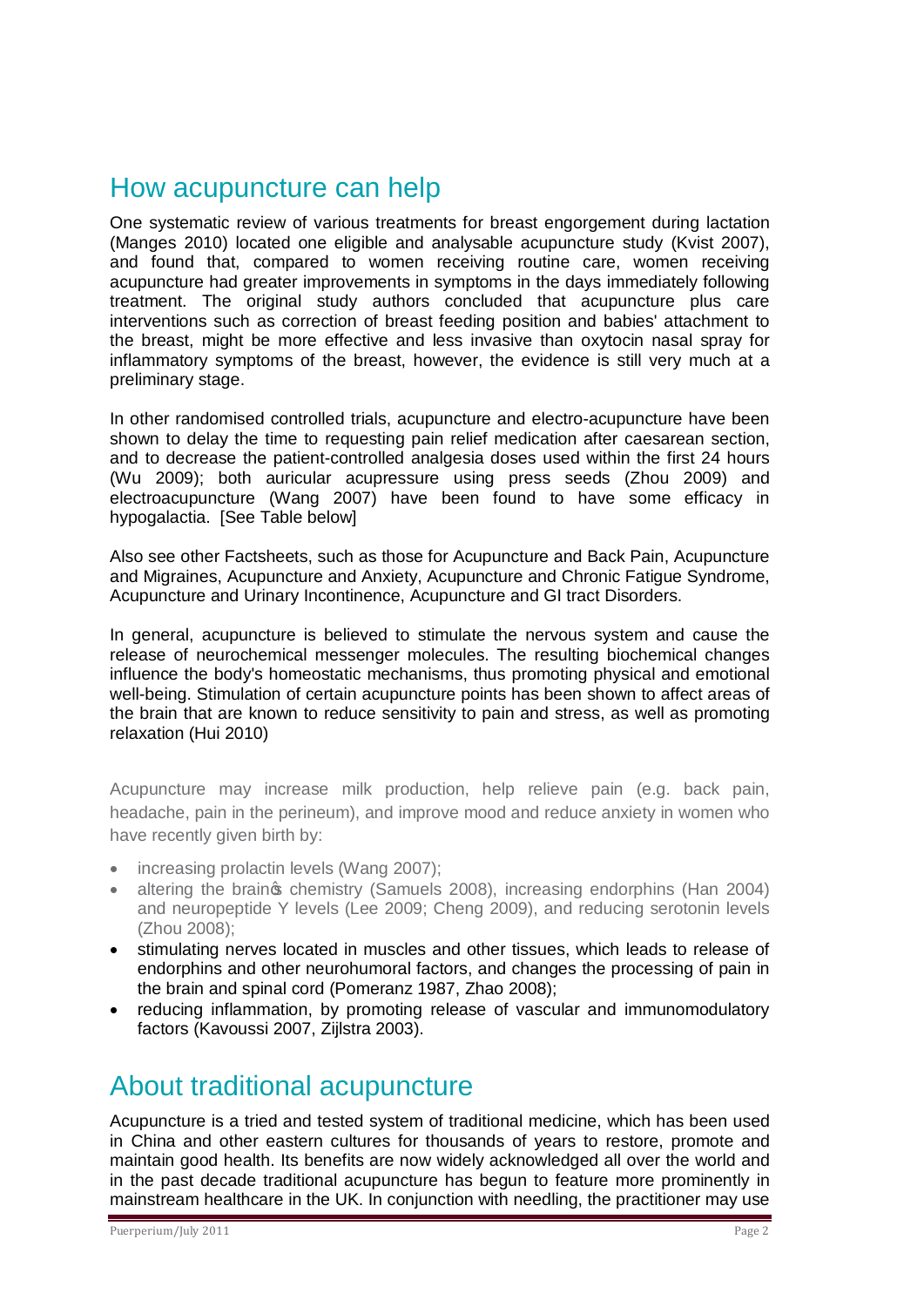### How acupuncture can help

One systematic review of various treatments for breast engorgement during lactation (Manges 2010) located one eligible and analysable acupuncture study (Kvist 2007), and found that, compared to women receiving routine care, women receiving acupuncture had greater improvements in symptoms in the days immediately following treatment. The original study authors concluded that acupuncture plus care interventions such as correction of breast feeding position and babies' attachment to the breast, might be more effective and less invasive than oxytocin nasal spray for inflammatory symptoms of the breast, however, the evidence is still very much at a preliminary stage.

In other randomised controlled trials, acupuncture and electro-acupuncture have been shown to delay the time to requesting pain relief medication after caesarean section, and to decrease the patient-controlled analgesia doses used within the first 24 hours (Wu 2009); both auricular acupressure using press seeds (Zhou 2009) and electroacupuncture (Wang 2007) have been found to have some efficacy in hypogalactia. [See Table below]

Also see other Factsheets, such as those for Acupuncture and Back Pain, Acupuncture and Migraines, Acupuncture and Anxiety, Acupuncture and Chronic Fatigue Syndrome, Acupuncture and Urinary Incontinence, Acupuncture and GI tract Disorders.

In general, acupuncture is believed to stimulate the nervous system and cause the release of neurochemical messenger molecules. The resulting biochemical changes influence the body's homeostatic mechanisms, thus promoting physical and emotional well-being. Stimulation of certain acupuncture points has been shown to affect areas of the brain that are known to reduce sensitivity to pain and stress, as well as promoting relaxation (Hui 2010)

Acupuncture may increase milk production, help relieve pain (e.g. back pain, headache, pain in the perineum), and improve mood and reduce anxiety in women who have recently given birth by:

- increasing prolactin levels (Wang 2007);
- altering the braings chemistry (Samuels 2008), increasing endorphins (Han 2004) and neuropeptide Y levels (Lee 2009; Cheng 2009), and reducing serotonin levels (Zhou 2008);
- · stimulating nerves located in muscles and other tissues, which leads to release of endorphins and other neurohumoral factors, and changes the processing of pain in the brain and spinal cord (Pomeranz 1987, Zhao 2008);
- reducing inflammation, by promoting release of vascular and immunomodulatory factors (Kavoussi 2007, Zijlstra 2003).

### About traditional acupuncture

Acupuncture is a tried and tested system of traditional medicine, which has been used in China and other eastern cultures for thousands of years to restore, promote and maintain good health. Its benefits are now widely acknowledged all over the world and in the past decade traditional acupuncture has begun to feature more prominently in mainstream healthcare in the UK. In conjunction with needling, the practitioner may use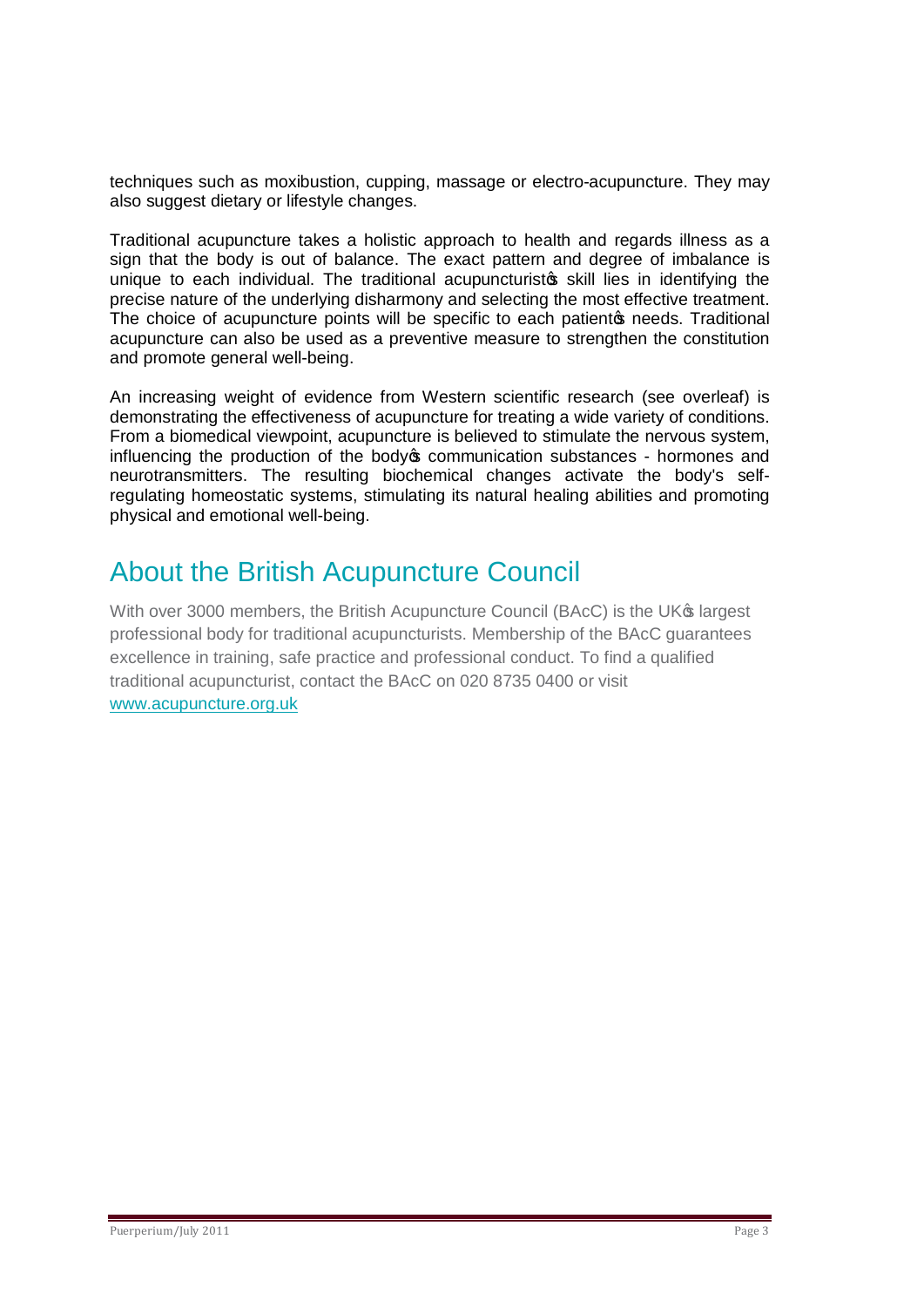techniques such as moxibustion, cupping, massage or electro-acupuncture. They may also suggest dietary or lifestyle changes.

Traditional acupuncture takes a holistic approach to health and regards illness as a sign that the body is out of balance. The exact pattern and degree of imbalance is unique to each individual. The traditional acupuncturistos skill lies in identifying the precise nature of the underlying disharmony and selecting the most effective treatment. The choice of acupuncture points will be specific to each patient of needs. Traditional acupuncture can also be used as a preventive measure to strengthen the constitution and promote general well-being.

An increasing weight of evidence from Western scientific research (see overleaf) is demonstrating the effectiveness of acupuncture for treating a wide variety of conditions. From a biomedical viewpoint, acupuncture is believed to stimulate the nervous system, influencing the production of the body to communication substances - hormones and neurotransmitters. The resulting biochemical changes activate the body's selfregulating homeostatic systems, stimulating its natural healing abilities and promoting physical and emotional well-being.

## About the British Acupuncture Council

With over 3000 members, the British Acupuncture Council (BAcC) is the UK<sup>®</sup> largest professional body for traditional acupuncturists. Membership of the BAcC guarantees excellence in training, safe practice and professional conduct. To find a qualified traditional acupuncturist, contact the BAcC on 020 8735 0400 or visit [www.acupuncture.org.uk](http://www.acupuncture.org.uk/)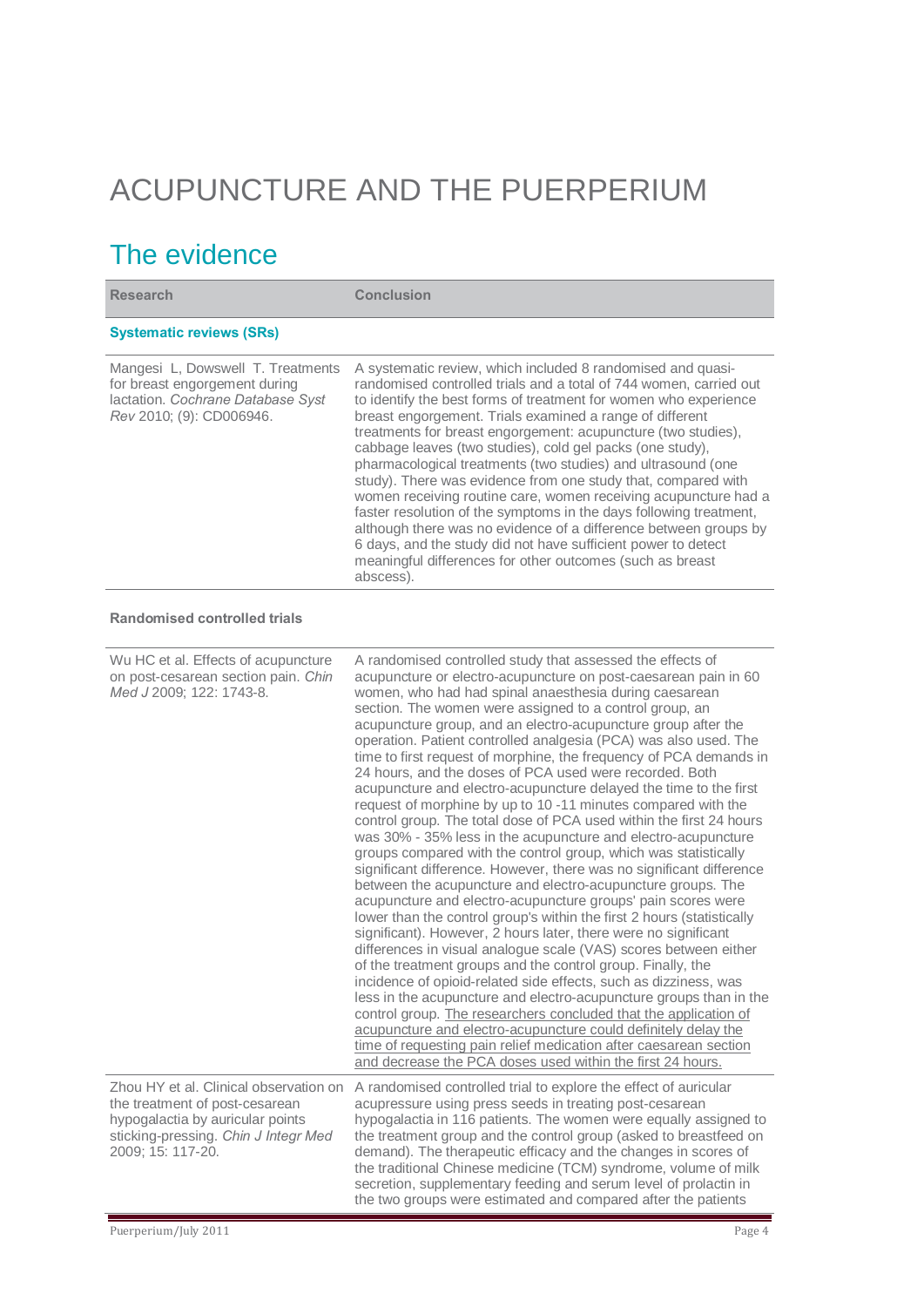# ACUPUNCTURE AND THE PUERPERIUM

# The evidence

| <b>Research</b>                                                                                                                                                           | <b>Conclusion</b>                                                                                                                                                                                                                                                                                                                                                                                                                                                                                                                                                                                                                                                                                                                                                                                                                                                                                                                                                                                                                                                                                                                                                                                                                                                                                                                                                                                                                                                                                                                                                                                                                                                                                                                                                                   |
|---------------------------------------------------------------------------------------------------------------------------------------------------------------------------|-------------------------------------------------------------------------------------------------------------------------------------------------------------------------------------------------------------------------------------------------------------------------------------------------------------------------------------------------------------------------------------------------------------------------------------------------------------------------------------------------------------------------------------------------------------------------------------------------------------------------------------------------------------------------------------------------------------------------------------------------------------------------------------------------------------------------------------------------------------------------------------------------------------------------------------------------------------------------------------------------------------------------------------------------------------------------------------------------------------------------------------------------------------------------------------------------------------------------------------------------------------------------------------------------------------------------------------------------------------------------------------------------------------------------------------------------------------------------------------------------------------------------------------------------------------------------------------------------------------------------------------------------------------------------------------------------------------------------------------------------------------------------------------|
| <b>Systematic reviews (SRs)</b>                                                                                                                                           |                                                                                                                                                                                                                                                                                                                                                                                                                                                                                                                                                                                                                                                                                                                                                                                                                                                                                                                                                                                                                                                                                                                                                                                                                                                                                                                                                                                                                                                                                                                                                                                                                                                                                                                                                                                     |
| Mangesi L, Dowswell T. Treatments<br>for breast engorgement during<br>lactation. Cochrane Database Syst<br>Rev 2010; (9): CD006946.                                       | A systematic review, which included 8 randomised and quasi-<br>randomised controlled trials and a total of 744 women, carried out<br>to identify the best forms of treatment for women who experience<br>breast engorgement. Trials examined a range of different<br>treatments for breast engorgement: acupuncture (two studies),<br>cabbage leaves (two studies), cold gel packs (one study),<br>pharmacological treatments (two studies) and ultrasound (one<br>study). There was evidence from one study that, compared with<br>women receiving routine care, women receiving acupuncture had a<br>faster resolution of the symptoms in the days following treatment,<br>although there was no evidence of a difference between groups by<br>6 days, and the study did not have sufficient power to detect<br>meaningful differences for other outcomes (such as breast<br>abscess).                                                                                                                                                                                                                                                                                                                                                                                                                                                                                                                                                                                                                                                                                                                                                                                                                                                                                            |
| <b>Randomised controlled trials</b>                                                                                                                                       |                                                                                                                                                                                                                                                                                                                                                                                                                                                                                                                                                                                                                                                                                                                                                                                                                                                                                                                                                                                                                                                                                                                                                                                                                                                                                                                                                                                                                                                                                                                                                                                                                                                                                                                                                                                     |
| Wu HC et al. Effects of acupuncture<br>on post-cesarean section pain. Chin<br>Med J 2009; 122: 1743-8.                                                                    | A randomised controlled study that assessed the effects of<br>acupuncture or electro-acupuncture on post-caesarean pain in 60<br>women, who had had spinal anaesthesia during caesarean<br>section. The women were assigned to a control group, an<br>acupuncture group, and an electro-acupuncture group after the<br>operation. Patient controlled analgesia (PCA) was also used. The<br>time to first request of morphine, the frequency of PCA demands in<br>24 hours, and the doses of PCA used were recorded. Both<br>acupuncture and electro-acupuncture delayed the time to the first<br>request of morphine by up to 10 -11 minutes compared with the<br>control group. The total dose of PCA used within the first 24 hours<br>was 30% - 35% less in the acupuncture and electro-acupuncture<br>groups compared with the control group, which was statistically<br>significant difference. However, there was no significant difference<br>between the acupuncture and electro-acupuncture groups. The<br>acupuncture and electro-acupuncture groups' pain scores were<br>lower than the control group's within the first 2 hours (statistically<br>significant). However, 2 hours later, there were no significant<br>differences in visual analogue scale (VAS) scores between either<br>of the treatment groups and the control group. Finally, the<br>incidence of opioid-related side effects, such as dizziness, was<br>less in the acupuncture and electro-acupuncture groups than in the<br>control group. The researchers concluded that the application of<br>acupuncture and electro-acupuncture could definitely delay the<br>time of requesting pain relief medication after caesarean section<br>and decrease the PCA doses used within the first 24 hours. |
| Zhou HY et al. Clinical observation on<br>the treatment of post-cesarean<br>hypogalactia by auricular points<br>sticking-pressing. Chin J Integr Med<br>2009; 15: 117-20. | A randomised controlled trial to explore the effect of auricular<br>acupressure using press seeds in treating post-cesarean<br>hypogalactia in 116 patients. The women were equally assigned to<br>the treatment group and the control group (asked to breastfeed on<br>demand). The therapeutic efficacy and the changes in scores of<br>the traditional Chinese medicine (TCM) syndrome, volume of milk<br>secretion, supplementary feeding and serum level of prolactin in<br>the two groups were estimated and compared after the patients                                                                                                                                                                                                                                                                                                                                                                                                                                                                                                                                                                                                                                                                                                                                                                                                                                                                                                                                                                                                                                                                                                                                                                                                                                      |
| Puerperium/July 2011                                                                                                                                                      | Page 4                                                                                                                                                                                                                                                                                                                                                                                                                                                                                                                                                                                                                                                                                                                                                                                                                                                                                                                                                                                                                                                                                                                                                                                                                                                                                                                                                                                                                                                                                                                                                                                                                                                                                                                                                                              |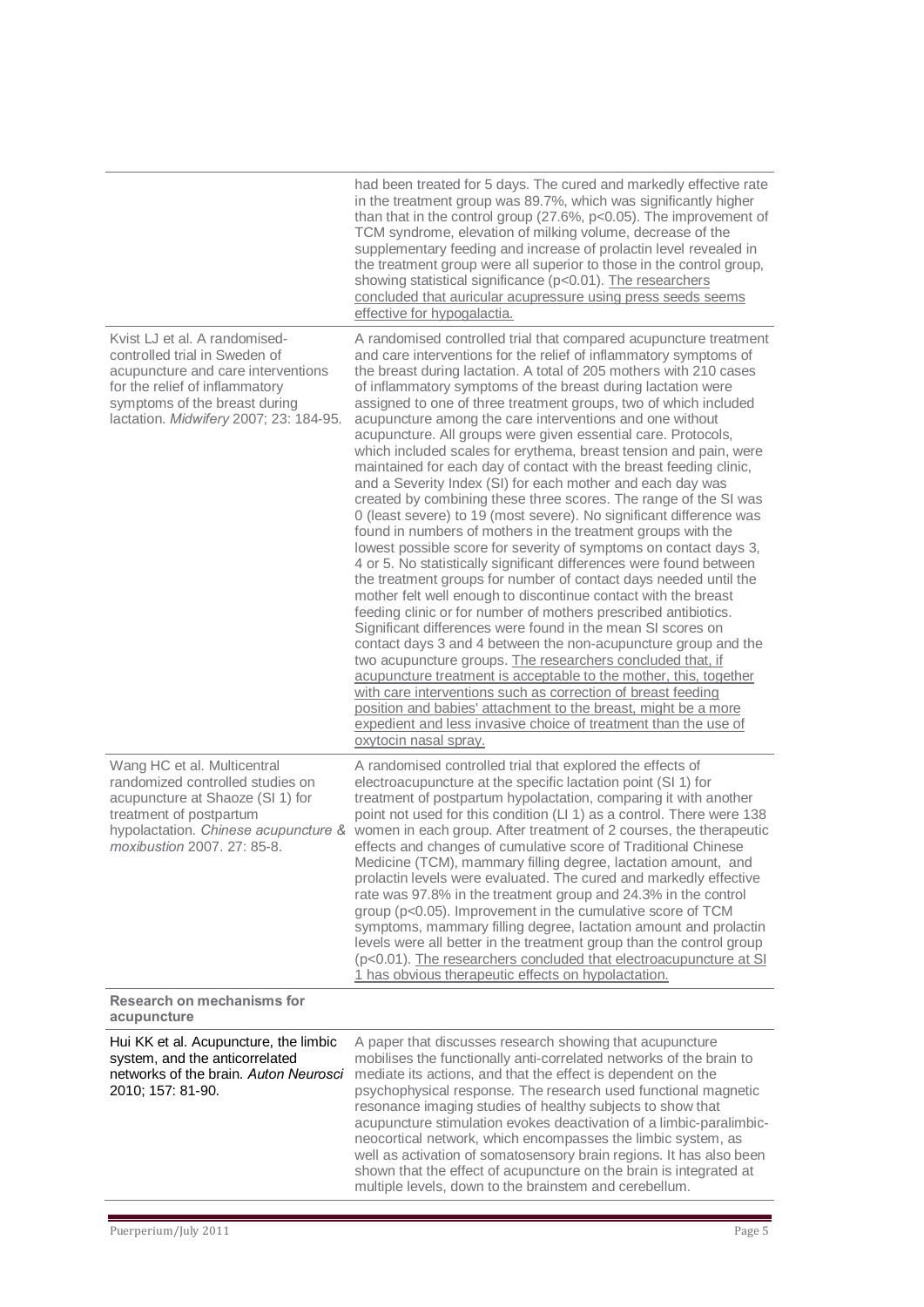|                                                                                                                                                                                                                   | had been treated for 5 days. The cured and markedly effective rate<br>in the treatment group was 89.7%, which was significantly higher<br>than that in the control group (27.6%, $p<0.05$ ). The improvement of<br>TCM syndrome, elevation of milking volume, decrease of the<br>supplementary feeding and increase of prolactin level revealed in<br>the treatment group were all superior to those in the control group,<br>showing statistical significance (p<0.01). The researchers<br>concluded that auricular acupressure using press seeds seems<br>effective for hypogalactia.                                                                                                                                                                                                                                                                                                                                                                                                                                                                                                                                                                                                                                                                                                                                                                                                                                                                                                                                                                                                                                                                                                                                                                  |
|-------------------------------------------------------------------------------------------------------------------------------------------------------------------------------------------------------------------|----------------------------------------------------------------------------------------------------------------------------------------------------------------------------------------------------------------------------------------------------------------------------------------------------------------------------------------------------------------------------------------------------------------------------------------------------------------------------------------------------------------------------------------------------------------------------------------------------------------------------------------------------------------------------------------------------------------------------------------------------------------------------------------------------------------------------------------------------------------------------------------------------------------------------------------------------------------------------------------------------------------------------------------------------------------------------------------------------------------------------------------------------------------------------------------------------------------------------------------------------------------------------------------------------------------------------------------------------------------------------------------------------------------------------------------------------------------------------------------------------------------------------------------------------------------------------------------------------------------------------------------------------------------------------------------------------------------------------------------------------------|
| Kvist LJ et al. A randomised-<br>controlled trial in Sweden of<br>acupuncture and care interventions<br>for the relief of inflammatory<br>symptoms of the breast during<br>lactation. Midwifery 2007; 23: 184-95. | A randomised controlled trial that compared acupuncture treatment<br>and care interventions for the relief of inflammatory symptoms of<br>the breast during lactation. A total of 205 mothers with 210 cases<br>of inflammatory symptoms of the breast during lactation were<br>assigned to one of three treatment groups, two of which included<br>acupuncture among the care interventions and one without<br>acupuncture. All groups were given essential care. Protocols,<br>which included scales for erythema, breast tension and pain, were<br>maintained for each day of contact with the breast feeding clinic,<br>and a Severity Index (SI) for each mother and each day was<br>created by combining these three scores. The range of the SI was<br>0 (least severe) to 19 (most severe). No significant difference was<br>found in numbers of mothers in the treatment groups with the<br>lowest possible score for severity of symptoms on contact days 3,<br>4 or 5. No statistically significant differences were found between<br>the treatment groups for number of contact days needed until the<br>mother felt well enough to discontinue contact with the breast<br>feeding clinic or for number of mothers prescribed antibiotics.<br>Significant differences were found in the mean SI scores on<br>contact days 3 and 4 between the non-acupuncture group and the<br>two acupuncture groups. The researchers concluded that, if<br>acupuncture treatment is acceptable to the mother, this, together<br>with care interventions such as correction of breast feeding<br>position and babies' attachment to the breast, might be a more<br>expedient and less invasive choice of treatment than the use of<br>oxytocin nasal spray. |
| Wang HC et al. Multicentral<br>randomized controlled studies on<br>acupuncture at Shaoze (SI 1) for<br>treatment of postpartum<br>hypolactation. Chinese acupuncture &<br>moxibustion 2007, 27: 85-8.             | A randomised controlled trial that explored the effects of<br>electroacupuncture at the specific lactation point (SI 1) for<br>treatment of postpartum hypolactation, comparing it with another<br>point not used for this condition (LI 1) as a control. There were 138<br>women in each group. After treatment of 2 courses, the therapeutic<br>effects and changes of cumulative score of Traditional Chinese<br>Medicine (TCM), mammary filling degree, lactation amount, and<br>prolactin levels were evaluated. The cured and markedly effective<br>rate was 97.8% in the treatment group and 24.3% in the control<br>group (p<0.05). Improvement in the cumulative score of TCM<br>symptoms, mammary filling degree, lactation amount and prolactin<br>levels were all better in the treatment group than the control group<br>(p<0.01). The researchers concluded that electroacupuncture at SI<br>1 has obvious therapeutic effects on hypolactation.                                                                                                                                                                                                                                                                                                                                                                                                                                                                                                                                                                                                                                                                                                                                                                                           |
| Research on mechanisms for<br>acupuncture                                                                                                                                                                         |                                                                                                                                                                                                                                                                                                                                                                                                                                                                                                                                                                                                                                                                                                                                                                                                                                                                                                                                                                                                                                                                                                                                                                                                                                                                                                                                                                                                                                                                                                                                                                                                                                                                                                                                                          |
| Hui KK et al. Acupuncture, the limbic<br>system, and the anticorrelated<br>networks of the brain. Auton Neurosci<br>2010; 157: 81-90.                                                                             | A paper that discusses research showing that acupuncture<br>mobilises the functionally anti-correlated networks of the brain to<br>mediate its actions, and that the effect is dependent on the<br>psychophysical response. The research used functional magnetic<br>resonance imaging studies of healthy subjects to show that<br>acupuncture stimulation evokes deactivation of a limbic-paralimbic-<br>neocortical network, which encompasses the limbic system, as<br>well as activation of somatosensory brain regions. It has also been<br>shown that the effect of acupuncture on the brain is integrated at<br>multiple levels, down to the brainstem and cerebellum.                                                                                                                                                                                                                                                                                                                                                                                                                                                                                                                                                                                                                                                                                                                                                                                                                                                                                                                                                                                                                                                                            |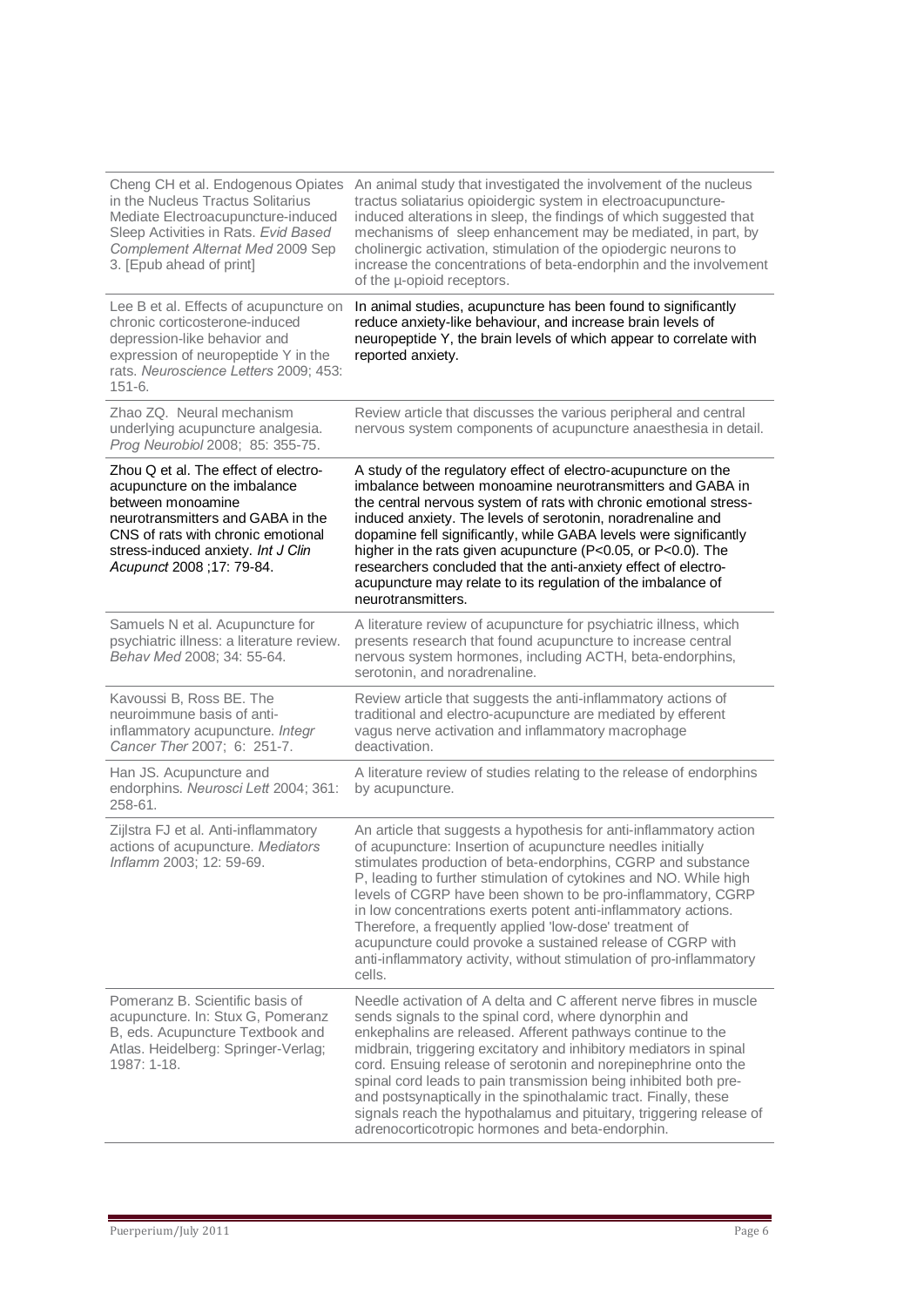| Cheng CH et al. Endogenous Opiates<br>in the Nucleus Tractus Solitarius<br>Mediate Electroacupuncture-induced<br>Sleep Activities in Rats. Evid Based<br>Complement Alternat Med 2009 Sep<br>3. [Epub ahead of print]                    | An animal study that investigated the involvement of the nucleus<br>tractus soliatarius opioidergic system in electroacupuncture-<br>induced alterations in sleep, the findings of which suggested that<br>mechanisms of sleep enhancement may be mediated, in part, by<br>cholinergic activation, stimulation of the opiodergic neurons to<br>increase the concentrations of beta-endorphin and the involvement<br>of the µ-opioid receptors.                                                                                                                                                                   |
|------------------------------------------------------------------------------------------------------------------------------------------------------------------------------------------------------------------------------------------|------------------------------------------------------------------------------------------------------------------------------------------------------------------------------------------------------------------------------------------------------------------------------------------------------------------------------------------------------------------------------------------------------------------------------------------------------------------------------------------------------------------------------------------------------------------------------------------------------------------|
| Lee B et al. Effects of acupuncture on<br>chronic corticosterone-induced<br>depression-like behavior and<br>expression of neuropeptide Y in the<br>rats. Neuroscience Letters 2009; 453:<br>$151 - 6.$                                   | In animal studies, acupuncture has been found to significantly<br>reduce anxiety-like behaviour, and increase brain levels of<br>neuropeptide Y, the brain levels of which appear to correlate with<br>reported anxiety.                                                                                                                                                                                                                                                                                                                                                                                         |
| Zhao ZQ. Neural mechanism<br>underlying acupuncture analgesia.<br>Prog Neurobiol 2008; 85: 355-75.                                                                                                                                       | Review article that discusses the various peripheral and central<br>nervous system components of acupuncture anaesthesia in detail.                                                                                                                                                                                                                                                                                                                                                                                                                                                                              |
| Zhou Q et al. The effect of electro-<br>acupuncture on the imbalance<br>between monoamine<br>neurotransmitters and GABA in the<br>CNS of rats with chronic emotional<br>stress-induced anxiety. Int J Clin<br>Acupunct 2008 ; 17: 79-84. | A study of the regulatory effect of electro-acupuncture on the<br>imbalance between monoamine neurotransmitters and GABA in<br>the central nervous system of rats with chronic emotional stress-<br>induced anxiety. The levels of serotonin, noradrenaline and<br>dopamine fell significantly, while GABA levels were significantly<br>higher in the rats given acupuncture (P<0.05, or P<0.0). The<br>researchers concluded that the anti-anxiety effect of electro-<br>acupuncture may relate to its regulation of the imbalance of<br>neurotransmitters.                                                     |
| Samuels N et al. Acupuncture for<br>psychiatric illness: a literature review.<br>Behav Med 2008; 34: 55-64.                                                                                                                              | A literature review of acupuncture for psychiatric illness, which<br>presents research that found acupuncture to increase central<br>nervous system hormones, including ACTH, beta-endorphins,<br>serotonin, and noradrenaline.                                                                                                                                                                                                                                                                                                                                                                                  |
| Kavoussi B, Ross BE. The<br>neuroimmune basis of anti-<br>inflammatory acupuncture. Integr<br>Cancer Ther 2007; 6: 251-7.                                                                                                                | Review article that suggests the anti-inflammatory actions of<br>traditional and electro-acupuncture are mediated by efferent<br>vagus nerve activation and inflammatory macrophage<br>deactivation.                                                                                                                                                                                                                                                                                                                                                                                                             |
| Han JS. Acupuncture and<br>endorphins. Neurosci Lett 2004; 361:<br>258-61.                                                                                                                                                               | A literature review of studies relating to the release of endorphins<br>by acupuncture.                                                                                                                                                                                                                                                                                                                                                                                                                                                                                                                          |
| Zijlstra FJ et al. Anti-inflammatory<br>actions of acupuncture. Mediators<br>Inflamm 2003; 12: 59-69.                                                                                                                                    | An article that suggests a hypothesis for anti-inflammatory action<br>of acupuncture: Insertion of acupuncture needles initially<br>stimulates production of beta-endorphins, CGRP and substance<br>P, leading to further stimulation of cytokines and NO. While high<br>levels of CGRP have been shown to be pro-inflammatory, CGRP<br>in low concentrations exerts potent anti-inflammatory actions.<br>Therefore, a frequently applied 'low-dose' treatment of<br>acupuncture could provoke a sustained release of CGRP with<br>anti-inflammatory activity, without stimulation of pro-inflammatory<br>cells. |
| Pomeranz B. Scientific basis of<br>acupuncture. In: Stux G, Pomeranz<br>B, eds. Acupuncture Textbook and<br>Atlas. Heidelberg: Springer-Verlag;<br>1987: 1-18.                                                                           | Needle activation of A delta and C afferent nerve fibres in muscle<br>sends signals to the spinal cord, where dynorphin and<br>enkephalins are released. Afferent pathways continue to the<br>midbrain, triggering excitatory and inhibitory mediators in spinal<br>cord. Ensuing release of serotonin and norepinephrine onto the<br>spinal cord leads to pain transmission being inhibited both pre-<br>and postsynaptically in the spinothalamic tract. Finally, these<br>signals reach the hypothalamus and pituitary, triggering release of<br>adrenocorticotropic hormones and beta-endorphin.             |